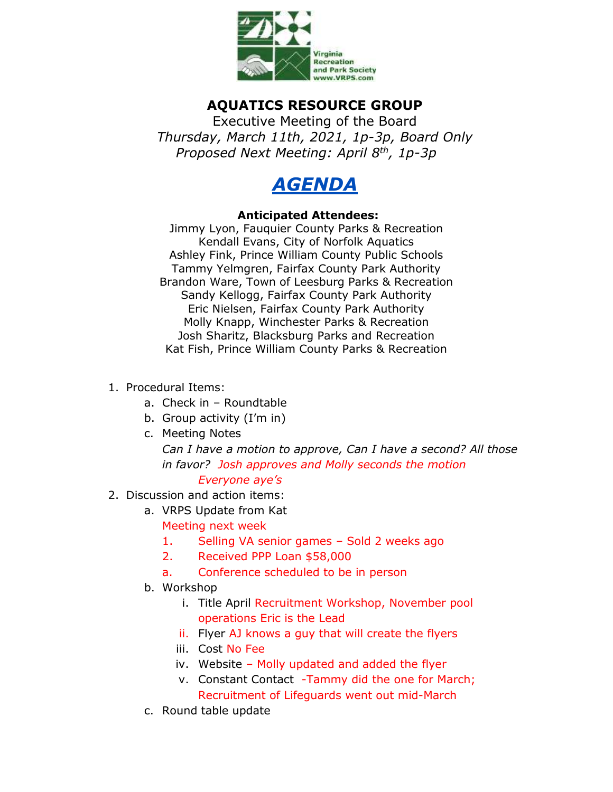

## **AQUATICS RESOURCE GROUP**

Executive Meeting of the Board *Thursday, March 11th, 2021, 1p-3p, Board Only Proposed Next Meeting: April 8th, 1p-3p*



## **Anticipated Attendees:**

Jimmy Lyon, Fauquier County Parks & Recreation Kendall Evans, City of Norfolk Aquatics Ashley Fink, Prince William County Public Schools Tammy Yelmgren, Fairfax County Park Authority Brandon Ware, Town of Leesburg Parks & Recreation Sandy Kellogg, Fairfax County Park Authority Eric Nielsen, Fairfax County Park Authority Molly Knapp, Winchester Parks & Recreation Josh Sharitz, Blacksburg Parks and Recreation Kat Fish, Prince William County Parks & Recreation

- 1. Procedural Items:
	- a. Check in Roundtable
	- b. Group activity (I'm in)
	- c. Meeting Notes

*Can I have a motion to approve, Can I have a second? All those in favor? Josh approves and Molly seconds the motion Everyone aye's*

- 2. Discussion and action items:
	- a. VRPS Update from Kat

Meeting next week

- 1. Selling VA senior games Sold 2 weeks ago
- 2. Received PPP Loan \$58,000
- a. Conference scheduled to be in person
- b. Workshop
	- i. Title April Recruitment Workshop, November pool operations Eric is the Lead
	- ii. Flyer AJ knows a guy that will create the flyers
	- iii. Cost No Fee
	- iv. Website Molly updated and added the flyer
	- v. Constant Contact -Tammy did the one for March; Recruitment of Lifeguards went out mid-March
- c. Round table update